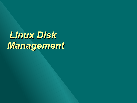*Linux Disk Management*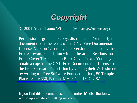

© 2001 Adam Tauno Williams (awilliam@whitemice.org)

Permission is granted to copy, distribute and/or modify this document under the terms of the GNU Free Documentation License, Version 1.1 or any later version published by the Free Software Foundation with no Invariant Sections, no Front-Cover Texts, and no Back-Cover Texts. You may obtain a copy of the GNU Free Documentation License from the Free Software Foundation by visiting their Web site or by writing to: Free Software Foundation, Inc., 59 Temple Place - Suite 330, Boston, MA 02111-1307, USA.

If you find this document useful or further it's distribution we would appreciate you letting us know.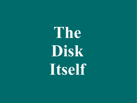**The Disk Itself**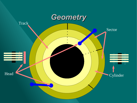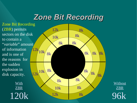## *Zone Bit Recording*

Zone Bit Recording (ZBR) permits sectors on the disk to contain a "*variable*" amount of information and is one of the reasons for the sudden explosion in disk capacity.

> **With** ZBR 120k



**Without** ZBR 96k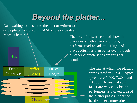## *Beyond the platter...*

Data waiting to be sent to the host or written to the drive platter is stored in RAM on the drive itself.

More is better.



The drive firmware controls how the drive deals with error conditions, performs read-ahead, etc. High end drives often perform better even though all other characteristics are roughly equal.

> The rate at which the platters spin is rated in RPM. Typical speeds are 5,400, 7,200, and 10,000. Drives that spin faster are *generally* better performers as a given area of the platter passes under the head sooner / more often.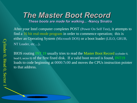# *The Master Boot Record*

*These boots are made for walking... -***Nancy Sinatra**

After your Intel computer completes POST (Power On Self Test), it attempts to find a 16 bit real-mode program in order to commence operation; this is either an Operating System (Microsoft DOS) or a boot loader (LILO, GRUB, NT Loader, etc....).

BIOS routing INT 19 usually tries to read the Master Boot Record (cylinder 0, head 0, sector 0) of the first fixed disk. If a valid boot record is found, INT19 loads to code beginning at 0000:7c00 and moves the CPUs instruction pointer to that address.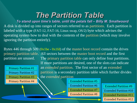## *The Partition Table*

 *To stand upon time's table, until the petals fall – Billy M. Smallwoord* A disk is divided up into ranges of sectors referred to as partitions. Each partition is labeled with a type (FAT-12, FAT-16, Linux swap, OS/2) byte which advises the operating system how to deal with the contents of the partition (which may involve ignoring the partition entirely).

Bytes  $446$  through  $509$  (0x1be - 0x1fd) of the master boot record contain the drives primary partition table. All sectors between the master boot record and the first partition are unused. The primary partition table can only define four partitions.

Primary Partition #1 Primary Partition #2 Primary Partition #3

If more partitions are desired, one of the slots can indicate an *extended* partition. The first sector of an extended partition is a secondary partition table which further divides the *extended* partition

Primary Partition #4 **Extended Partition #5** Extended Partition #6 Extended Partition #7 Extended Partition #8

Extended Partition #9 Extended Partition #10 Extended Partition #11 Extended Partition #12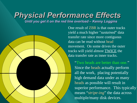# *Physical Performance Effects*

*Until you get it on the red line overload – Kenny Loggins*

One result of ZBR is that outer tracks yield a much higher "*sustained*" data transfer rate since more contiguous data can be read without head movement. On some drives the outer tracks will yield almost TWICE the data transfer rate as inner tracks.

> "Two heads are better than one." Since the heads actually perform all the work, placing potentially high demand data under as many heads as possible will result in superior performance. This typically means "*stripe-ing*" the data across multiple/many disk devices.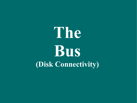# **The Bus (Disk Connectivity)**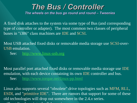## *The Bus / Controller The wheels on the bus go round and round – Tweenies*

A fixed disk attaches to the system via some type of Bus (and corresponding type of controller or adapter). The most common two classes of peripheral buses in "i386" class machines are IDE and SCSI.

Most USB attached fixed disks or removable media storage use SCSI-over-USB emulation.

See: http://www.linux-usb.org

Most parallel port attached fixed disks or removable media storage use IDE emulation, with each device containing its own IDE controller and bus. See: http://www.torque.net/linux-pp.html

Linux also supports several "obsolete" drive topologies such as MFM, RLL, ESDI, and "primitive IDE". There are rumors that support for some of these old technologies will drop out somewhere in the 2.4.*x* series. will not live long into the 2.4.x series. The 2.4.x series of the 2.4.x series. The 2.4.x series of the 2.4.x series.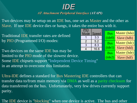

### *AT Attachment Peripheral Interface (ATAPI)*

PIC

Mod

Two devices may be setup on an IDE bus, one set as Master and the other as Slave. If one IDE device dies or hangs, it takes the entire bus with it.

Traditional IDE transfer rates are defined by PIO (Programmed I/O) modes:

Two devices on the same IDE bus may be limited to the PIO mode of the slowest device. Some IDE chipsets support "Independent Device Timing" in an attempt to overcome this limitation.

Ultra-IDE defines a standard for Bus Mastering IDE controllers that can transfer data to/from main memory via DMA as well as a parity checksum for data transferred on the bus. Unfortunately, very few drives currently support parity.

The IDE device is "blocking" when one device is active. The bus and other

| 'IO            |              |            |              |
|----------------|--------------|------------|--------------|
| <u>ode</u>     | <b>Speed</b> | <b>Bus</b> | Master (hda) |
|                | 3.3          | (ide0)     | Slave (hdb)  |
| $\overline{2}$ | 5.2          | <b>Bus</b> | Master (hdc) |
| 3              | 8.3          |            |              |
| 4              | 16.6         | (ide1)     | Slave (hdd)  |
|                |              | <b>Bus</b> | Master (hde) |
|                |              | (ide2)     | Slave (hdf)  |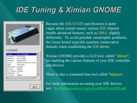# *IDE Tuning & Ximian GNOME*



Because the IDE/ATAPI specification is quite vague about certain issues, various IDE chipsets handle advanced features, such as DMA, slightly differently. To avoid possible catastrophic problems, the Linux kernel typically assumes conservative defaults when establishing the IDE driver.

Ximian GNOME provides a GUI tool, called "idetool", for enabling the various features of your IDE controller and devices.

There is also a command line tool called "hdparm".

For more information on tuning your IDE devices see: <ftp://kalamazoolinux.org/pub/pdf/PerfTune2001.pdf>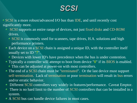## *SCSI*

SCSI is a more robust/advanced I/O bus than IDE, and until recently cost significantly more.

- SCSI supports an entire range of devices, not just fixed disks and CD-ROM drives.
	- SCSI is commonly used for scanners, tape drives, H.A. solutions and high performance printers.
- Each device on a SCSI chain is assigned a unique ID, with the controller itself usually set to ID "7".
	- Devices with lower ID's have precedence when the bus is under contention.
- Typically a controller will attempt to boot from device "0" if its BIOS is enabled. This can be adjusted at power-on with most controllers.
- The end of a SCSI chain must be "terminated". Or the last device must support self-termination. Lack of termination or poor termination will result in bus errors and/or erratic behavior.
- Different SCSI controllers vary widely in features/performance. Caveat Emptor.
- There is no hard limit to the number of SCSI controllers that can be installed in a system.
- A SCSI bus can handle device failures in most cases.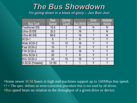## *The Bus Showdown I'm going down in a blaze of glory – Jon Bon Jovi*

|                        | Raw          | <b>Device</b>  |    | Error                       | <b>Multiple</b>       |
|------------------------|--------------|----------------|----|-----------------------------|-----------------------|
| <b>Bus Type</b>        | <b>Speed</b> | Count          |    | <b>Bus Width Correction</b> | <b>Active</b>         |
| <b>Traditional IDE</b> | 16.6         | $\overline{2}$ | 16 | N                           | N                     |
| Ultra-33 IDE           | 33.3         | $\overline{2}$ | 16 | $\boldsymbol{\gamma}$       | N                     |
| Ultra-66 IDE           | 66.6         | $\overline{2}$ | 16 | $\gamma$                    | N                     |
| <b>SCSI-1</b>          | 5            | 7              | 8  | V                           | γ                     |
| <b>Wide SCSI-2</b>     | 10           | 15             | 16 | Υ                           | Υ                     |
| <b>Fast SCSI-2</b>     | 10           |                | 8  | V                           | Y                     |
| <b>F/W SCSI-2</b>      | 20           |                | 16 | V                           | Y                     |
| Ultra SCSI-3           | 20           |                | 8  | V                           | V                     |
| W/U SCSI-3             | 40           | 15             | 16 | V                           | Y                     |
| S-SCSI (Firewire)      | $12 - 50$    | $\overline{?}$ |    | V                           | $\boldsymbol{\gamma}$ |

Some newer SCSI buses in high end machines support up to 160Mbps bus speed.  $\odot$ ? = The spec. defines an error-correction procedure that is not used by all drives. Bus speed bears no relation to the throughput of a given drive or device.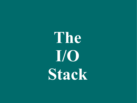**The I/O Stack**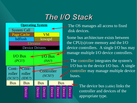## *The I/O Stack*



The OS manages all access to fixed disk devices.

Some bus architecture exists between the CPU(s)/core memory and the I/O device controllers. A single I/O bus may manage multiple I/O device controllers.

The controller integrates the system's I/O bus to the device I/O bus. A single controller may manage multiple device buses.

> The device bus (cable) links the controller and devices of the appropriate type.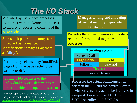# *The I/O Stack*

API used by user-space processes to interact with the kernel, in this case to modify or access to contents of the page cache.

Stores disk pages in memory for improved performance. Modifications to pages flag them as "dirty".

Periodically selects dirty (modified) pages from the page cache to be written to disk.

Submits I/O requests to the individual devices, determines the order in which the operations occur.

The exact operational parameters of the various subsystems can be optimized for your environment, see: <ftp://kalamazoolinux.org/pub/pdf/PerfTune2001.pdf>

Manages writing and allocating of virtual memory pages into and out of swap.

Provides the virtual memory subsystem required for multitasking many processes.



Processes the actual communication between the OS and the device. Several device drivers may actual be involved in a request. For example: PCI Bus, SCSI Controller, and SCSI disk.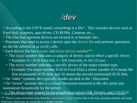## */dev*

- According to the UN<sup>\*</sup>X model, everything is a file<sup>\*</sup>. This includes devices such as fixed disk, scanners, tape drives, CD-ROMs, Cameras, etc....
- The files that represent devices are located in or beneath /dev.
- Processes that need to access a device open the device file and perform operations on the file referred to as ioctl() calls.
- Each device file has a major and minor device number\*\*.
	- The major number indicates a category of device, and in effect a specific driver.
		- Example:  $8 = SCSI$  fixed disk,  $3 = IDE$  fixed disk,  $4 = RS-232$  port
	- The minor number indicates a specific device of the major number type.
		- Example: For major number 8 (SCSI Fixed Disk) a minor number of 0 means the first enumerated SCSI disk, and 16 means the second enumerated SCSI disk.
- On "older" systems /dev typically resides on disk in the / filesystem.
- On "newer" systems /dev is a virtual filesystem mounted at the /dev point and maintained dynamically by the kernel.

\* Some devices under Linux are not represented by a file; network interfaces being the most noticeable example. \*\* There is some movement away from the major/minor number scheme due to the truly enormous number and range of devices which may be connected to a modern system.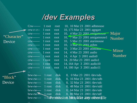## */dev Examples*

Crw------- 1 root root 10, 10 Mar 23 2001 adbmouse

crw-r--r-- 1 root root 10, 175 Mar 23 2001 agpgart

|             | $C1W$ ------    | 1 root | root | 10, 4 Mar 23 2001 amigamouse             |
|-------------|-----------------|--------|------|------------------------------------------|
| "Character" |                 |        |      |                                          |
|             | $C1W$ ------    | 1 root | root | 10, 7 Mar 23 2001 amigamouse1            |
| Device      | $C1W$ ------    | 1 root | root | 5 Mar 23 2001 atarimouse<br>10.          |
|             | $C1W$ ------    | 1 root | root | 10, 3 Mar 23 2001 atibm                  |
|             | $C1W$ -------   | 1 root | root | 10, 3 Mar 23 2001 atimouse               |
|             | $C1W$ ------    | 1 root | root | 14, 4 Mar 23 2001 audio                  |
|             | $C1W$ ------    | 1 root | root | 14, 4 Apr 3 2001 audio0                  |
|             | $C1W$ ------    | 1 root | root | 14, 20 Mar 23 2001 audio1                |
|             | $C1W$ ------    | 1 root | root | 14, 164 Apr 3 2001 audio10               |
|             | $C1W$ ------    | 1 root | root | 14, 180 Apr 3 2001 audio 11              |
|             |                 |        |      |                                          |
|             | $brw-rw---$     | 1 root | disk | 8, 0 Mar 23 2001 / dev/sda               |
| "Block"     | $brw-rw---$     | 1 root | disk | 8, 16 Mar 23 2001 / dev/sdb              |
| Device      | $brw-rw---$     | 1 root | disk | 8, 32 Mar 23 2001 / dev/sdc              |
|             | $brw-rw---$     | 1 root | disk | 8, 48 Mar 23 2001 / dev/sdd              |
|             | $brw-rw---$     | 1 root | disk | 8, 64 Mar 23 2001 / dev/s de             |
|             | $brw-rw-1$ root |        | disk | 8, 80 Mar 23 2001 / dev/sdf              |
|             | $brw-rw---$     |        |      | 1 rocernission, bitsylike any other file |

Major Number

> Minor Number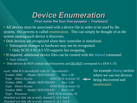## *Device Enumeration*

*First name the four free peoples – Treebeard*

All devices must be associated with a device file in order to be used by the system, this process is called enumeration. This can simply be thought of as the system naming each device it discovers.

- Disk devices are recognized when their controller is initialized.
	- Subsequent changes to hardware may not be recognized.
		- Only SCSI-3 SCA/LVD supports hot swapping.
- If required, additional device files can be created with the mknod command.
	- man mknod
- $\bullet$  Disk devices do NOT contain data/filesystems and <u>DO NOT</u> correspond to a DOS C:/D:.

scsi0 : IBM PCI ServeRAID 4.80.26 <ServeRAID> Vendor: IBM Model: SERVERAID Rev: 1.00 Type: Direct-Access ANSI SCSI revision: 02 Vendor: IBM Model: SERVERAID Rev: 1.00 Type: Direct-Access ANSI SCSI revision: 02 Vendor: IBM Model: SERVERAID Rev: 1.00 Type: Processor ANSI SCSI revision: 02 Attached scsi disk sda at scsi0, channel 0, id 0, lun 0 Attached scsi disk sdb at scsi0, channel 0, id 1, lun 0

An example dmesg section where we can see devices being discovered and enumerated.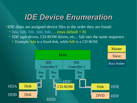## *IDE Device Enumeration*

IDE disks are assigned device files in the order they are found:

- $\bullet$  hda, hdb, hdc, hdd, hde,.... (max default = 8)
- IDE tape drives, CD-ROM drives, etc... fall into the same sequence.
	- Example: hda is a fixed disk, while hdb is a CD-ROM.

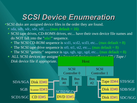## *SCSI Device Enumeration*

SCSI disks are assigned device files in the order they are found.

- $\circ$  sda, sdb, sdc, sde, sdf, .... (max default = 16)
- SCSI tape drives, CD-ROMS drives, etc... have their own device file names and do NOT fall into the "sda?" sequence.
	- $\bullet$  The SCSI CD-ROM sequence is scd1, scd2, scd3, etc... (max default = 8)
	- $\bullet$  The SCSI tape drive sequence is st0, st1, st2, etc.... (max default = 8)
	- $\bullet$  The SCSI "generic" sequence is sga, sgb, sgc, sgd, etc... (max default = 8)
- $\triangle$  ALL SCSI devices are assigne<sup>d a "</sup>generic" device as well as a  $\angle$   $T_1$  *Tape / Disk* device file if appropriate.

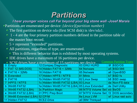## *Partitions*

*I hear younger voices call Far beyond your big stone wall -Josef Marais* Partitions are enumerated per device: *{device}{partition number}*

- The first partition on device sda (first SCSI disk) is /dev/sda1.
- 1 4 are the four primary partition numbers defined in the partition table of the master boot record.
- $\bullet$  5 + represent "extended" partitions.
- All partitions, regardless of type, are enumerated.
	- This is different behavior than is exhibited by most operating systems.
- IDE drives have a maximum of 16 partitions per device.

| <b>Common Partition Types</b><br>• SCSI drives have a maximum of 15 partitions per device. |  |                                               |  |                                     |  |                    |  |
|--------------------------------------------------------------------------------------------|--|-----------------------------------------------|--|-------------------------------------|--|--------------------|--|
| 0 Empty                                                                                    |  | 12 Compaq Diagnostic                          |  | 63 GNU HURD                         |  | 9f BSD/OS          |  |
| 1 FAT 12 (MS-DOS)                                                                          |  | 14 Hidden FAT16 < 32Mb                        |  | 64 Netware                          |  | a5 BSD/386         |  |
| 4 FAT16 < 32Mb                                                                             |  | 16 Hidden FAT16                               |  | 65 Netware                          |  | a6 OpenBSD         |  |
| 5 Extended                                                                                 |  | 17 Hidden HPFS / NTFS                         |  | 81 Minix                            |  | b7 BSD fs          |  |
| 6 FAT16                                                                                    |  | 1b Hidden Win95 FAT32                         |  | 82 Linux Swap                       |  | b8 BSD swap        |  |
| 7 HPFS / NTFS                                                                              |  | 1c Hidden Win95 FAT32 (LBA) 83 Linux          |  |                                     |  | da Non-FS data     |  |
| b Win95 FAT32                                                                              |  | 1e Hidden Win95 FAT16 (LBA) 85 Linux Extended |  |                                     |  | de Dell Utility    |  |
| c Win95 FAT32 (LBA)                                                                        |  | 3c Paritition Magic                           |  | 86 NTFS Volume Set                  |  | eb BeOS            |  |
| e Win95 FAT32 (LBA)                                                                        |  | 31 PPC Prep Boot                              |  | 87 NTFS Volume Set f2 DOS secondary |  |                    |  |
| f Win95 Extended (LBA) 52 CP/M                                                             |  |                                               |  | 8e Linux LVM                        |  | ef Linux raid auto |  |
| 11 Hidden FAT12                                                                            |  | 55 EZ-Drive                                   |  | a0 <b>IBM</b> Thinkpad              |  |                    |  |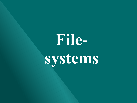# **Filesystems**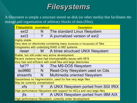## *Filesystems*

A filesystem is simple a structure stored on disk (or other media) that facilitates the storage and organization of arbitrary blocks of data (files).

| <b>Filesystems Journalized</b> |   | <b>Description</b>                                                        |  |  |  |  |
|--------------------------------|---|---------------------------------------------------------------------------|--|--|--|--|
| ext <sub>2</sub>               | N | The standard Linux filesystem                                             |  |  |  |  |
| ext <sub>3</sub>               |   | A journalized version of ext2                                             |  |  |  |  |
| <b>Highly stable</b>           |   |                                                                           |  |  |  |  |
|                                |   | Very slow on directories containing many (hundreds or thousands) of files |  |  |  |  |
|                                |   | Integreates with underlying RAID or MD systems                            |  |  |  |  |
| rieser                         | M | A btree structued UNIX filesystem                                         |  |  |  |  |
|                                |   | Stable, but still under very active development                           |  |  |  |  |
|                                |   | Recent versions have had interoperability issues with NFS                 |  |  |  |  |
|                                |   | Very fast and efficient with small files and large directories            |  |  |  |  |
| fat??                          | N | The MS-DOS filesystem                                                     |  |  |  |  |
| <b>iso9660</b>                 | N | Read-Only filesystem used on Cds                                          |  |  |  |  |
| streamfs                       | N | Multimedia oriented filesystem                                            |  |  |  |  |
|                                |   | Gaurantees no fragmentation, used for few very large files                |  |  |  |  |
| May be currently unmaintained  |   |                                                                           |  |  |  |  |
| <b>xfs</b>                     | Y | A UNIX filesystem ported from SGI IRIX                                    |  |  |  |  |
|                                |   | High performance filesystem with support for ACLs and very large files    |  |  |  |  |
| jfs                            | Y | A UNIX filesystem ported from IBM AIX                                     |  |  |  |  |
|                                |   | High performance filesystem, currently under development                  |  |  |  |  |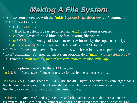# *Making A File System*

A filesystem is created with the "mkfs {options} {partition-device}" command. Common Options:

-t {filesystem type}

- If no filesystem type is specified, an " $ext{2}$ " filesystem is created.
- -c Check device for bad blocks before creating filesystem.
- $\cdot$  -m %%% Percentage of blocks to reserve for use by the super-user only.
- -b {block-size} Valid sizes are 1024, 2048, and 4096 bytes.
- Different filesystems have different options which can be given as parameters to the "mkfs" command. For specific filesystem options, do a "man mk{filesystem type}"
	- Example: man mke2fs, man mkreiserfs, man mkmsdos, mkswap

### Common options specific to the ext2 filesystem:

-m %%% Percentage of blocks to reserve for use by the super-user only.

-b {block-size} Valid sizes are 1024, 2048, and 4096 bytes. For any filesystem larger than a few hundred megabytes, the block size should be 4096 bytes or performance will suffer. Smaller block sizes result in more efficient use of space.

 $-N$  {###} Number of inodes (directories and files each take an inode) to create in the filesystem. If not specified, the number of inodes is calculated based upon file-system size.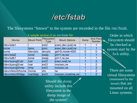## */etc/fstab*

The filesystems "*known*" to the system are recorded in the file /etc/fstab.

| A sample section of an /etc/fstab file |             |                    |                       |      |                                   |  |  |  |
|----------------------------------------|-------------|--------------------|-----------------------|------|-----------------------------------|--|--|--|
| <b>Device</b>                          | Mount Point | Filesystem<br>Type | <b>Mount Options</b>  | Dump | <b>fsck Pass</b><br><b>Number</b> |  |  |  |
| /dev/sda1                              |             | $ext{2}$           | exec, dev, suid, rw   |      |                                   |  |  |  |
| none                                   | /proc       | proc               | exec, dev, suid, rw   |      |                                   |  |  |  |
| none                                   | /dev/pts    | devpts             | $q$ id=5, mode=620    |      | 0                                 |  |  |  |
| /dev/sda2                              | none        | <b>Swap</b>        | $pri=1, rw,sw$        |      |                                   |  |  |  |
| /dev/sdb1                              | none        | <b>Swap</b>        | $ pri=1, rw,sw$       |      |                                   |  |  |  |
| /dev/sysvg0/usr                        | /usr        | $\mathsf{lex}3$    | $exec$ , suid, rw     |      | $\overline{2}$                    |  |  |  |
| /dev/sysvg0/var                        | /var        | $\mathsf{ext}3$    | $noe$ xec, rw         |      | $\overline{2}$                    |  |  |  |
| /dev/sysvg0/tmp                        | /tmp        | $\mathsf{ext}3$    | noexec, rw            |      | $\overline{2}$                    |  |  |  |
| /dev/mirror0/home                      | /home       | $\times$ fs        | <b>INV</b>            |      | $\overline{2}$                    |  |  |  |
| /dev/mirror0/ldap                      | /var/Idap   | $\mathsf{lex}3$    | noexec, no a time, rw |      | $\overline{2}$                    |  |  |  |

Order in which filesystem should be checked at system start by the fsck utility.

There are some virtual filesystems (maintained by the kernel) that are mounted on all Linux systems.

Should the dump utility include this filesystem in the dump image of the system?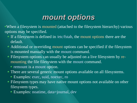## *mount options*

When a filesystem is mounted (attached to the filesystem hierarchy) various options may be specified.

- If a filesystem is defined in /etc/fstab, the mount options there are the default.
- Additional or overriding mount options can be specified if the filesystem is mounted manually with the mount command.
- Filesystem options can usually be adjusted on a live filesystem by remounting the file filesystem with the mount command.
	- $\bullet$  remount is a mount option.
- There are several generic mount options available on all filesystems.
	- Examples: exec, suid, noexec, ro
- Filesystem types may have native mount options not available on other filesystem types.
	- Examples: noatime, data=journal, dev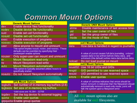## *Common Mount Options*

|                 | <b>Generic Mount Options</b>                                                 |            |
|-----------------|------------------------------------------------------------------------------|------------|
| dev             | Enable device files functionality                                            |            |
| nodev           | Disable device file functionality                                            | ati<br>uic |
| suid            | Enable set-uid functionality                                                 |            |
| nosuid          | Disable set-uid functionality                                                | gic        |
| exec            | Enable execution of programs                                                 | m          |
| noexec          | Disable execution of programs                                                |            |
| user            | Allow anyone to mount and unmount                                            | dat        |
|                 | This option implies nosuid, nodev, and noexec. These                         |            |
|                 | defaults can be overriden by specifying their<br>counterpart enable options. |            |
| nouser          | Only super-user can mount and unmount                                        |            |
| ro              | Mount filesystem read-only                                                   |            |
| rw              | Mount filesystem read-write                                                  | nol        |
| auto            | <b>Mount filesystem automatically</b>                                        |            |
|                 | This option is typically assumed unless noauto is<br>specifically stated.    | nol<br>res |
| noauto          | Do not mount filesystem automatically                                        | res        |
|                 |                                                                              | erro       |
|                 | <b>XFS Mount Options</b>                                                     |            |
| <b>logbufs</b>  | Set number of in-memory log buffers (2-8)                                    |            |
| <b>logbsize</b> | Set size of in-memory log buffers                                            |            |
|                 | Valid sizes are 16,384 - 32768                                               | arp        |

|                     | <b>Generic UNIX Mount Options</b>                                                                                                                                                                                |
|---------------------|------------------------------------------------------------------------------------------------------------------------------------------------------------------------------------------------------------------|
| atime               | Disable maintenance of last access times                                                                                                                                                                         |
| uid                 | Set the user owner of files                                                                                                                                                                                      |
| gid                 | Set the group owner of files                                                                                                                                                                                     |
| mode                | Set the mode of files                                                                                                                                                                                            |
|                     | ext3 Mount Options                                                                                                                                                                                               |
|                     |                                                                                                                                                                                                                  |
| data                | How data is handled in regard to journalling                                                                                                                                                                     |
|                     |                                                                                                                                                                                                                  |
|                     | A value of journal causes full data journaling, ordered                                                                                                                                                          |
|                     | causes data to be written before meta-data, and                                                                                                                                                                  |
|                     | writeback (the default) writes meta data before data.                                                                                                                                                            |
| noload              | Do not load journal on mount                                                                                                                                                                                     |
|                     | ext2 Mount Options                                                                                                                                                                                               |
|                     |                                                                                                                                                                                                                  |
| nouid <sub>32</sub> | Use 16 bit UIDs and GIDs                                                                                                                                                                                         |
| resgid              | GID permitted to use reserved space                                                                                                                                                                              |
| resuid              | UID permitted to use reserved space                                                                                                                                                                              |
| errors              | Enable user quotas                                                                                                                                                                                               |
|                     | A value of continue indicates that errors should be<br>noted, remount-ro indicates that the filesystem should<br>automatically remount in read-only mode, panic will<br>halt the system upon a filesystem error. |
| grpdid              | ?                                                                                                                                                                                                                |
|                     | All ext2 mount options also are                                                                                                                                                                                  |

grpquota Enable group quotas

quota Enable user quotas

logdev Set the log device fo external logging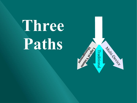**Three Paths**

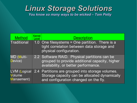## *Linux Storage Solutions You know so many ways to be wicked – Tom Petty*

| <b>Method</b>                        | <b>Kernel</b><br>Level | <b>Description</b>                                                                                                                         |
|--------------------------------------|------------------------|--------------------------------------------------------------------------------------------------------------------------------------------|
| Traditional                          |                        | 1.0 One filesystems = One partition. There is a<br>tight correlation between data storage and<br>physical configuration.                   |
| MD (Multi-<br>Device)                |                        | 2.2 Software RAID. Physical partitions can be<br>grouped to provide additional capacity, higher<br>availability, or better performance.    |
| LVM (Logical<br>Volume<br>Manaement) |                        | 2.4 Partitions are grouped into storage volumes.<br>Storage capacity can be allocated dynamically<br>and configuration changed on the fly. |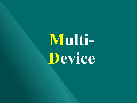# **Multi-Device**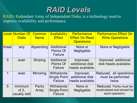## *RAID Levels*

RAID- Redundant Array of Independent Disks, is a technology used to improve availability and performance.

|          | Level Number Of<br><b>Disks</b>    | <b>Common</b><br><b>Name</b> | <b>Availability</b><br><b>Effect</b>                       | <b>Performance</b><br><b>Effect On Read</b><br><b>Operations</b> | <b>Performance Effect On</b><br><b>Write Operations</b>                   |
|----------|------------------------------------|------------------------------|------------------------------------------------------------|------------------------------------------------------------------|---------------------------------------------------------------------------|
| linear   | any                                | Appending                    | Additional<br>Points Of<br><b>Failure</b>                  | None or<br>Negligable                                            | None or Negligable                                                        |
| $\Omega$ | even                               | <b>Striping</b>              | Additional<br>Points Of<br>Failure                         | Improved,<br>additional disk<br>heads available.                 | Improved, additional<br>disk heads available.                             |
| 1        | even                               | Mirroring                    | Withstands<br><b>Single Point</b><br><b>Failure</b>        | Improved,<br>additional disk<br>heads available.                 | Reduced, all operations<br>must be performed<br>twice.                    |
| 5        | minimum<br>of $2$ ,<br>usually odd | Parity<br>Array              | <b>Withstands</b><br><b>Single Point</b><br><b>Failure</b> | None or<br>Negligable                                            | Reduced. Parity must be<br>recalculated and stored for<br>each operation. |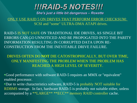## *!!!RAID-5 NOTES!!! She's just a little bit dangerous – Roxette*

ONLY USE RAID 5 ON DRIVES THAT PERFORM ERROR CHECKSUM: SCSI and "some" ULTRA-DMA ATAPI drives.

RAID-5 IS NOT SAFE ON TRADITIONAL IDE DRIVES, AS SINGLE BIT ERRORS CAN GO UNNOTICED AND BE PROPOGATED INTO THE PARITY INFORMATION RESULTING IN CORRUPTED DATA UPON RE-CONSTRUCTION FROM THE INEVITABLE DRIVE FAILURE.

DRIVES OFTEN DO **NOT** DIE CATOSTROPHICALLY, BUT OVER TIME, ONLY MANIFESTING THE PROBLEM WHEN THE PROBLEM HAS REACHED A HIGH LEVEL OF SEVERITY.

Good performance with software RAID-5 requires an MMX or "equivalent" enabled processor.

Due to write characteristics software, RAID-5 is probably NOT suitable for RDBMS storage. In fact, hardware RAID-5 is probably not suitable either, unless accompanied by a \*\*LARGE\*\* \*\*ECC\*\* memory RAID controller cache.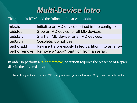## *Multi-Device Intro*

### The raidtools RPM add the following binaries to /sbin:

| mkraid        | Initialize an MD device defined in the config file.   |
|---------------|-------------------------------------------------------|
| raidstop      | Stop an MD device, or all MD devices.                 |
| raidstart     | Start an MD device, or all MD devices.                |
| raid0run      | Obsolete, do not use.                                 |
| raidhotadd    | Re-insert a previously failed partition into an array |
| raidhotremove | Remove a "good" partition from an array.              |

In order to perform a raidhotremove, operation requires the presence of a spare disk in the affected array.

Note: If any of the drives in an MD configuration are jumpered to Read-Only, it will crash the system.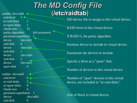## *The MD Config File*  raiddev /dev/md0 **(/etc/raidtab)**

 raid-level 5 nr-raid-disks 3

nr-spare-disks 1 chunk-size 32 parity-algorithm left-symmetric persistent-superblock 1 device /dev/sdf1 raid-disk 0 device /de<sup>v</sup>/sde1 raid-disk 1 device /dev/sdd1 raid-disk 2 device /dev/sdc1 spare-disk 0

raiddev /dev/md6 raid-level  $0 \rightarrow$ nr-raid-disks 2 nr-spare-disks 0 chunk-size 4 persistent-superblock 1  $device$  /dev/sdb5 raid-disk 0

MD device file to assign to this virtual device.

RAID level of this virtual device.

If RAID-5, the parity algorithm.

Partition device to include in virtual device.

Enumerate the devices to include.

Specify a drive as a "spare" disk.

Number of devices in this virtual device.

Number of "spare" devices in this virtual device, not included in "nr-raid-disks".

Size of block in virtual device.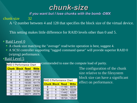

#### *if you want but I lose chunks with the bomb -DMX*

chunk-size 32

A ^2 number between 4 and 128 that specifies the block size of the virtual device.

This setting makes little difference for RAID levels other than 0 and 5.

#### **Raid Level 0**

A chunk size matching the "average" read/write operation is best, suggest 4.

A SCSI controller supporting "tagged command queue" will provide superior RAID 0 (sriping) performance.

#### Raid Level 5

| <b>RAID 0 Performance Chart</b> |                |             |              |  |  |  |  |
|---------------------------------|----------------|-------------|--------------|--|--|--|--|
| <b>Chunk</b>                    | <b>Block</b>   | <b>Read</b> | <b>Write</b> |  |  |  |  |
| 4                               | 1              | 19712       | 18035        |  |  |  |  |
| 4                               | 4              | 34048       | 27061        |  |  |  |  |
| 8                               | 1              | 19301       | 18091        |  |  |  |  |
| 8                               | 4              | 33920       | 27118        |  |  |  |  |
| 16                              | 1              | 19330       | 18179        |  |  |  |  |
| 16                              | $\overline{2}$ | 28161       | 23682        |  |  |  |  |
| 16                              | 4              | 33990       | 27229        |  |  |  |  |
| 32                              | 1              | 19251       | 18194        |  |  |  |  |
| 32                              | 4              | 34071       | 26976        |  |  |  |  |

prommended to ease the compute load of parity.

The configuration of the chunk size relative to the filesystem block size can have a significant effect on performance.

| <b>RAID 5 Performance Chart</b> |                |             |              |  |
|---------------------------------|----------------|-------------|--------------|--|
| <b>Chunk Block</b>              |                | <b>Read</b> | <b>Write</b> |  |
| 8                               |                | 11190       | 6879         |  |
| 8                               | 4              | 13474       | 12229        |  |
| 32                              | 1              | 11442       | 8291         |  |
| 32                              | 2              | 16089       | 10926        |  |
| 32                              | $\overline{4}$ | 18724       | 12627        |  |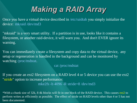## *Making a RAID Array*

Once you have a virtual device described in /etc/raidtab you simply initialize the device: mkraid /dev/md3

"mkraid" is a very smart utility. If a partition is in use, looks like it contains a filesystem, or another raid-device, it will warn you. And don't EVER ignore its warning.

You can immediately create a filesystem and copy data to the virtual device, any setup or regeneration is handled in the background and can be monitored by watching /proc/mdstat.

#### cat /proc/mdstat

If you create an ext2 filesystem on a RAID level 4 or 5 device you can use the ext2 "stride" option to increase performance: mke2fs -b 4096 -R stride=8 /dev/md3

\*With a chunk size of 32k, 8 4k blocks will fit in one block of the RAID device. This causes ext2 to perform writes as efficiently as possible. The effect of stride on RAID levels other than 4 or 5 has not been documented.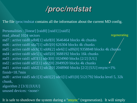

The file /proc/mdstat contains all the information about the current MD config.

Personalities : [linear] [raid0] [raid1] [raid5] read\_ahead 1024 sectors md7 : active raid0 sdb8[1] sda9[0] 3646464 blocks 4k chunks md6 : active raid0 sda7[1] sdb5[0] 626304 blocks 4k chunks md5 : active raid0 sdc6[3] sdd6[2] sde6[1] sdf6[0] 9358848 blocks 4k chunks md4 : active raid0 sde5[1] sdd5[0] 3688192 blocks 16k chunks md3 : active raid1 sdf3[1] sde3[0] 1024960 blocks [2/2] [UU] md2 : active raid0 sdf2[1] sde2[0] 2049920 blocks 4k chunks md1 : active raid1 sdd2[1] sdc2[0] 2048960 blocks [2/2] [UU] resync=1% finish=18.7min md0 : active raid5 sdc1[3] sdd1[2] sde1[1] sdf1[0] 5121792 blocks level 5, 32k chunk, algorithm 2 [3/3] [UUU] unused devices: <none> regenerating

It is safe to shutdown the system during a "resync" (regeneration). It will simply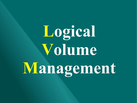**Logical Volume Management**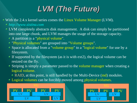# *LVM (The Future)*

With the 2.4.x kernel series comes the Linux Volume Manager (LVM).

- *http://www.sistina.com*
- LVM completely abstracts disk management. A disk can simply be partitioned into one large chunk, and LVM manages the usage of the storage capacity.
	- A partition is a "physical volume".
	- "Physical volumes" are grouped into "Volume groups".
	- Space is allocated from a "volume group" to a "logical volume" for use by a filesystem.
	- If supported by the filesystem (as it is with  $ext{ext{2}}$ ), the logical volume can be resized on the fly.
	- Striping is simply a parameter passed to the volume manager when creating a logical volume.
		- RAID, at this point, is still handled by the Multi-Device (md) modules.
	- Logical volumes can be forcibly moved among physical volumes.



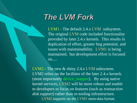## *The LVM Fork*

LVM1 - The default 2.4.*x* LVM subsystem. The original LVM code included functionality provided by later 2.4.*x* kernels. This results in duplication of effort, greater bug potential, and issues with maintainability. LVM1 is being maintained, but development effort is focused on.....

LVM2 - The new & shiny 2.4.*x* LVM subsystem. LVM2 relies on the facilities of the later 2.4.*x* kernels (most importantly device\_mapper). By using native kernel services, LVM2 will be more robust and enable to developers to focus on features (such as *transaction disk support*) rather than re-tooling infrastructure. LVM2 supports on the LVM1 meta-data format.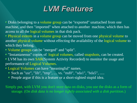## *LVM Features*

Disks belonging to a volume group can be "exported" unattached from one machine, and then "imported" when attached to another machine, which then has access to all the logical volumes in that disk pack.

Physical extents in a volume group can be moved from one physical volume to another physical volume without effecting the availability of the logical volume to which they belong.

Volume groups can be "merged" and "split".

"Instantaneous" copies of logical volumes, called snapshots, can be created. LVM has its own SAR(System Activity Recorded) to monitor the usage and performance of Logical Volumes.

Logical Volumes can have "meaningful" names.

- $\bullet$  Such as "usr", "lib", "tmp", .... vs. "md0", "sda1", "hda5", .....
- People argue if this is a feature or a short-sighted stupid idea.

Simply put, with LVM you don't store data on disks, you use the disks as a form of storage. (O*n disk data is no longer tightly associated with a disk partition.*)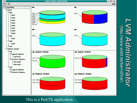

### This is a Perl/Tk application.

*Administrator LVM Administrator* **Administrato**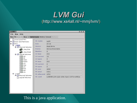## *LVM Gui* (http://www.xs4all.nl/~mmj/lvm/)

| O LVM 1                                                                                                                                                                                                                                                                                                           |                                                                                                                                                                                     | 000                                                                                                                                                                                               |  |  |
|-------------------------------------------------------------------------------------------------------------------------------------------------------------------------------------------------------------------------------------------------------------------------------------------------------------------|-------------------------------------------------------------------------------------------------------------------------------------------------------------------------------------|---------------------------------------------------------------------------------------------------------------------------------------------------------------------------------------------------|--|--|
| File<br>New Help                                                                                                                                                                                                                                                                                                  |                                                                                                                                                                                     |                                                                                                                                                                                                   |  |  |
| New PV New VG New LV DeActivate Delete Extend Reduce                                                                                                                                                                                                                                                              |                                                                                                                                                                                     |                                                                                                                                                                                                   |  |  |
| Unassigned PV's<br><b>O-</b> Disks and Partitions<br>$Q$ $\Box$ $VG's$<br>$P$ $\vee$ vg00<br>Physical Volumes<br>/dev/hde<br>/dev/hda9<br><b>P</b> Logical Volumes<br>var<br>db<br>news<br>home<br>usr<br>tmp<br>vm<br>bck<br>opt<br>$\equiv$ src<br>$\circ$ $\vee$ vg02<br>O Physical Volumes<br>Logical Volumes | VG name<br>Size<br><b>Access</b><br><b>Status</b><br>Number<br>LV max<br>LV current<br>LV open<br>PV max<br>PV current<br>PV open<br>PE size<br>PE total<br>PE allocated<br>VG uuid | vg00<br>22 Gb<br>Read/Write<br>Active/Extendable<br>O<br>256<br>10<br>$\overline{9}$<br>256<br>$\overline{z}$<br>$\overline{2}$<br>4096<br>5661<br>4763<br>LvEWOW-jUth-JGjb-e3Ac-Dyw1-U67z-wdREqe |  |  |

## This is a java application.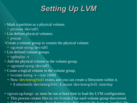# *Setting Up LVM*

- Mark a partition as a physical volume.
	- pvcreate /dev/sdf5
- $\bullet$  List defines physical volumes.
	- pvscan
- Create a volume group to contain the physical volume.
	- vgcreate sysvg /dev/sdf5
- List defined volume groups.
	- vgdisplay -v
- Add the physical volume to the volume group.
	- vgextend sysvg /dev/sdf5
- **Create a logical volume in the volume group.** 
	- lvcreate testvg -v --size 100M
	- Now /dev/testvg/lvol1 exists, and you can create a filesystem within it.
		- \$ mkreiserfs /dev/testvg/lv01; \$ mount /dev/testvg/lv01 /mnt/tmp
- vgscan;vgchange -ay must be run at boot time to load the LVM configuration.
	- This process creates files in /etc/lvmtab.d for each volume group discovered.
	- Volume groups know about themselves; they essentially have no "config" file.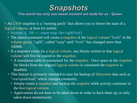

#### *This world has only one sweet moment set aside for us - Queen*

An LVM snapshot is a "running patch" that allows you to freeze the state of a logical volume, at least for awhile.

- $\bullet$  lvcreate -L 100 -s --name snap /dev/vg00/lvol1
- The above command will create a snapshot of the logical volume "lvol1" in the volume group "vg00", called "snap" until "lvol1" has changed more than 100Mb.
- If a snapshot exists for a logical volume, any blocks written in that logical volume will first be copied to the snapshot.
	- A translation table is maintained for the snapshot. Once space in the snapshot for blocks from the original logical volume is consumed the snapshot is disabled.
- This feature is primarily intended to ease the backup of filesystem data such as "/var/spool/mail" which changes constantly.
	- Simply create a snapshot and backup the snapshot while activity continues in the live logical volume.
	- Applications do not have to be taken down in order to back them up, or only taken down momentarily.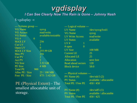## *vgdisplay I Can See Clearly Now The Rain is Gone – Johnny Nash*

\$ vgdisplay -v

| --- Volume group ---   |                     | --- Logical volume ---     |                                      |
|------------------------|---------------------|----------------------------|--------------------------------------|
| <b>VG</b> Name         | sysvg               | LV Name                    | /dev/sysvg/lvol1                     |
| <b>VG</b> Access       | read/write          | <b>VG Name</b>             | sysvg                                |
| <b>VG Status</b>       | available/resizable | LV Write Access            | read/write                           |
| VG#<br>$\overline{0}$  |                     | <b>LV Status</b>           | available                            |
| <b>MAXLV</b>           | 256                 | LV#<br>1                   |                                      |
| <b>Cur LV</b>          |                     | $\overline{0}$<br>$#$ open |                                      |
| Open LV                | $\theta$            | LV Size                    | <b>100 MB</b>                        |
| <b>MAX LV Size</b>     | 255.99 GB           |                            | 25                                   |
| Max PV                 | 256                 | <b>Current LE</b>          |                                      |
| <b>Cur PV</b>          | $ 2\rangle$         | <b>Allocated LE</b>        | 25                                   |
| <b>Act PV</b>          | $\overline{2}$      | <b>Allocation</b>          | next free                            |
| <b>VG Size</b>         | 3.52 GB             | <b>Read ahead sectors</b>  | 120                                  |
| <b>PE Size</b>         | 4 MB                | <b>Block device</b>        | 58:0                                 |
| <b>Total PE</b><br>900 |                     |                            |                                      |
| Alloc PE / Size        | 25 / 100 MB         | --- Physical volumes ---   |                                      |
| Free PE / Size         | 875 / 3.42 GB       | $PV$ Name $(\#)$           | $\frac{\text{dev}}{\text{sdc5}}$ (2) |

PE (Physical Extent) - The smallest allocatable unit of storage.

PV Status available / allocatable Total PE / Free PE 450 / 450

PV Name  $(\#)$  /dev/sdf5  $(1)$ Total PE / Free PE 450 / 425

PV Status available / allocatable